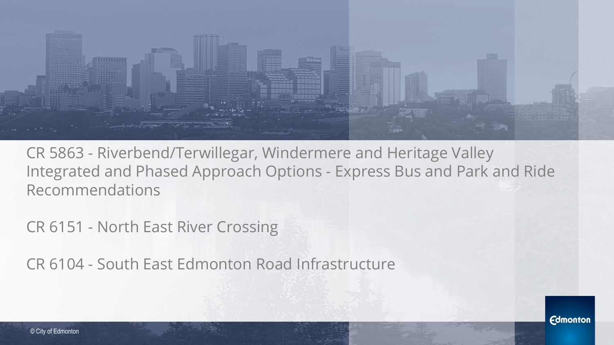

CR 5863 - Riverbend/Terwillegar, Windermere and Heritage Valley Integrated and Phased Approach Options - Express Bus and Park and Ride Recommendations

CR 6151 - North East River Crossing

CR 6104 - South East Edmonton Road Infrastructure

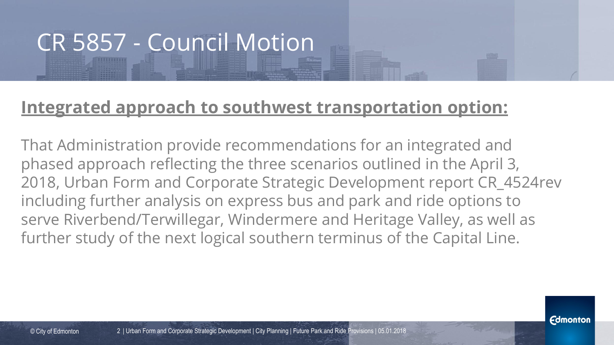## CR 5857 - Council Motion

#### **Integrated approach to southwest transportation option:**

That Administration provide recommendations for an integrated and phased approach reflecting the three scenarios outlined in the April 3, 2018, Urban Form and Corporate Strategic Development report CR\_4524rev including further analysis on express bus and park and ride options to serve Riverbend/Terwillegar, Windermere and Heritage Valley, as well as further study of the next logical southern terminus of the Capital Line.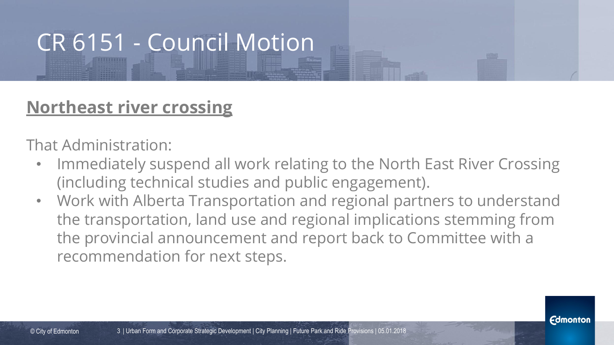## CR 6151 - Council Motion

#### **Northeast river crossing**

That Administration:

- Immediately suspend all work relating to the North East River Crossing (including technical studies and public engagement).
- Work with Alberta Transportation and regional partners to understand the transportation, land use and regional implications stemming from the provincial announcement and report back to Committee with a recommendation for next steps.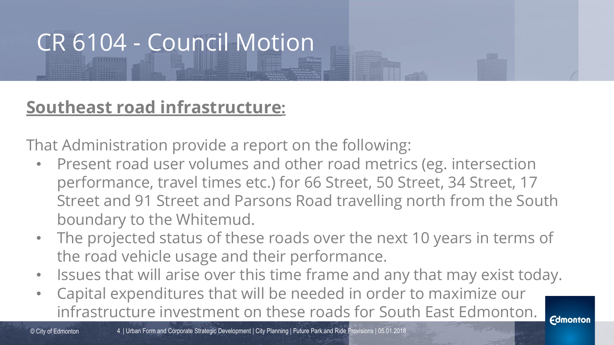## CR 6104 - Council Motion

#### **Southeast road infrastructure:**

That Administration provide a report on the following:

- Present road user volumes and other road metrics (eg. intersection performance, travel times etc.) for 66 Street, 50 Street, 34 Street, 17 Street and 91 Street and Parsons Road travelling north from the South boundary to the Whitemud.
- The projected status of these roads over the next 10 years in terms of the road vehicle usage and their performance.
- Issues that will arise over this time frame and any that may exist today.
- Capital expenditures that will be needed in order to maximize our infrastructure investment on these roads for South East Edmonton.

© City of Edmonton

*<u>Edmonton</u>*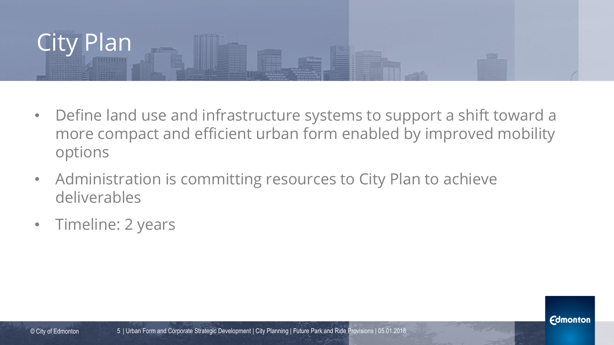

- Define land use and infrastructure systems to support a shift toward a more compact and efficient urban form enabled by improved mobility options
- Administration is committing resources to City Plan to achieve deliverables
- Timeline: 2 years

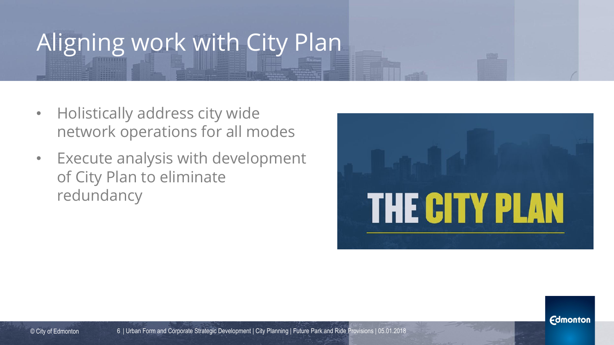## Aligning work with City Plan

- Holistically address city wide network operations for all modes
- Execute analysis with development of City Plan to eliminate redundancy



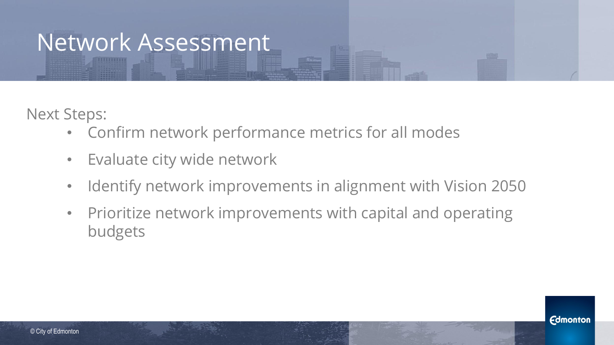### Network Assessment

Next Steps:

- Confirm network performance metrics for all modes
- Evaluate city wide network
- Identify network improvements in alignment with Vision 2050
- Prioritize network improvements with capital and operating budgets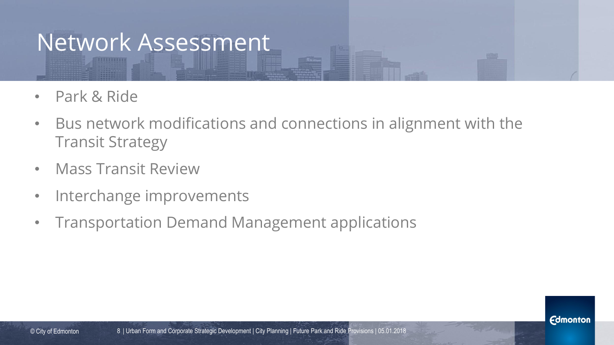### Network Assessment

- Park & Ride
- Bus network modifications and connections in alignment with the Transit Strategy
- Mass Transit Review
- Interchange improvements
- Transportation Demand Management applications